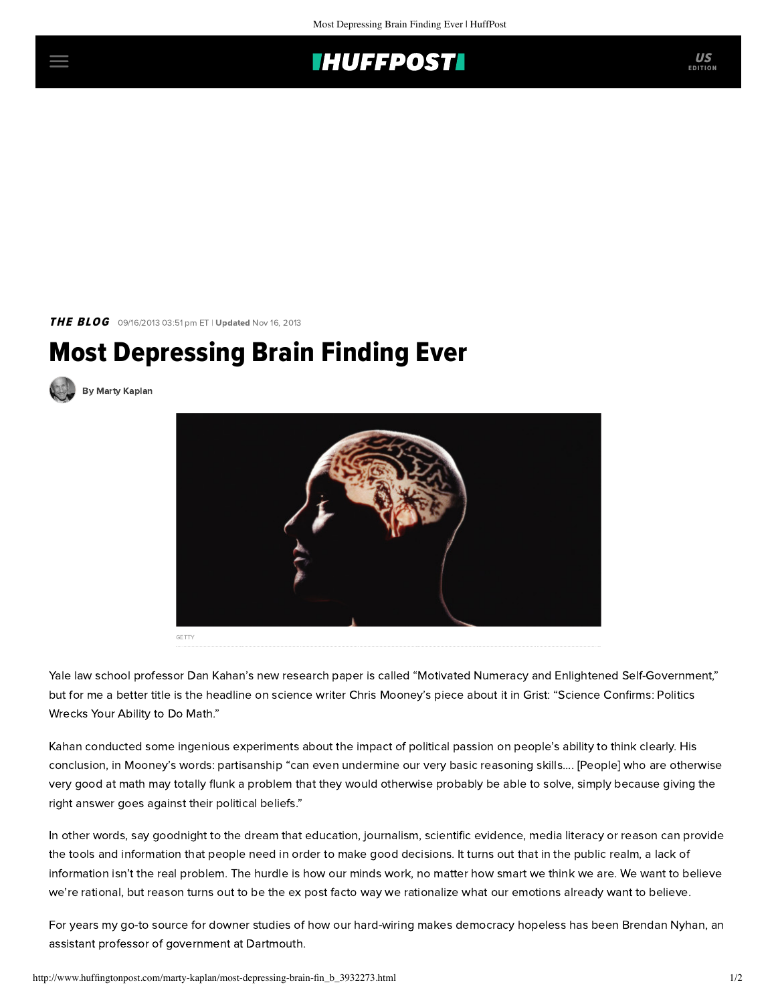

THE BLOG 09/16/2013 03:51 pm ET | Updated Nov 16, 2013

## Most Depressing Brain Finding Ever



[By Marty Kaplan](http://www.huffingtonpost.com/author/marty-kaplan)



Yale law school professor Dan Kahan's new research [paper](http://papers.ssrn.com/sol3/papers.cfm?abstract_id=2319992) is called "Motivated Numeracy and Enlightened Self-Government," but for me a better title is the headline on science writer Chris Mooney's [piece](http://grist.org/politics/science-confirms-politics-wrecks-your-ability-to-do-math/) about it in Grist: "Science Confirms: Politics Wrecks Your Ability to Do Math."

Kahan conducted some ingenious experiments about the impact of political passion on people's ability to think clearly. His conclusion, in Mooney's words: partisanship "can even undermine our very basic reasoning skills.... [People] who are otherwise very good at math may totally flunk a problem that they would otherwise probably be able to solve, simply because giving the right answer goes against their political beliefs."

In other words, say goodnight to the dream that education, journalism, scientific evidence, media literacy or reason can provide the tools and information that people need in order to make good decisions. It turns out that in the public realm, a lack of information isn't the real problem. The hurdle is how our minds work, no matter how smart we think we are. We want to believe we're rational, but reason turns out to be the ex post facto way we rationalize what our emotions already want to believe.

For years my go-to source for downer studies of how our hard-wiring makes democracy hopeless has been [Brendan Nyhan,](http://www.dartmouth.edu/~nyhan/) an assistant professor of government at Dartmouth.